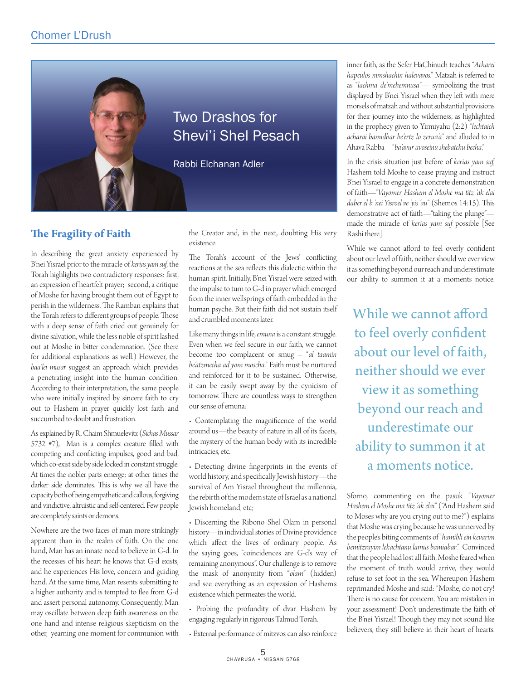

## **The Fragility of Faith**

In describing the great anxiety experienced by B'nei Yisrael prior to the miracle of *kerias yam suf*, the Torah highlights two contradictory responses: first, an expression of heartfelt prayer; second, a critique of Moshe for having brought them out of Egypt to perish in the wilderness. The Ramban explains that the Torah refers to different groups of people. Those with a deep sense of faith cried out genuinely for divine salvation, while the less noble of spirit lashed out at Moshe in bitter condemnation. (See there for additional explanations as well.) However, the *baa'lei musar* suggest an approach which provides a penetrating insight into the human condition. According to their interpretation, the same people who were initially inspired by sincere faith to cry out to Hashem in prayer quickly lost faith and succumbed to doubt and frustration.

As explained by R. Chaim Shmuelevitz (*Sichas Mussar* 5732 #7), Man is a complex creature filled with competing and conflicting impulses, good and bad, which co-exist side by side locked in constant struggle. At times the nobler parts emerge; at other times the darker side dominates. This is why we all have the capacity both of being empathetic and callous, forgiving and vindictive, altruistic and self-centered. Few people are completely saints or demons.

Nowhere are the two faces of man more strikingly apparent than in the realm of faith. On the one hand, Man has an innate need to believe in G-d. In the recesses of his heart he knows that G-d exists, and he experiences His love, concern and guiding hand. At the same time, Man resents submitting to a higher authority and is tempted to flee from G-d and assert personal autonomy. Consequently, Man may oscillate between deep faith awareness on the one hand and intense religious skepticism on the other, yearning one moment for communion with

## Two Drashos for Shevi'i Shel Pesach

Rabbi Elchanan Adler

the Creator and, in the next, doubting His very existence.

The Torah's account of the Jews' conflicting reactions at the sea reflects this dialectic within the human spirit. Initially, B'nei Yisrael were seized with the impulse to turn to G-d in prayer which emerged from the inner wellsprings of faith embedded in the human psyche. But their faith did not sustain itself and crumbled moments later.

Like many things in life, *emuna* is a constant struggle. Even when we feel secure in our faith, we cannot become too complacent or smug – "*al taamin be'atzmecha ad yom moscha*." Faith must be nurtured and reinforced for it to be sustained. Otherwise, it can be easily swept away by the cynicism of tomorrow. There are countless ways to strengthen our sense of emuna:

• Contemplating the magnificence of the world around us—the beauty of nature in all of its facets, the mystery of the human body with its incredible intricacies, etc.

• Detecting divine fingerprints in the events of world history, and specifically Jewish history—the survival of Am Yisrael throughout the millennia, the rebirth of the modem state of Israel as a national Jewish homeland, etc;

• Discerning the Ribono Shel Olam in personal history—in individual stories of Divine providence which affect the lives of ordinary people. As the saying goes, "coincidences are G-d's way of remaining anonymous". Our challenge is to remove the mask of anonymity from "*olam*" (hidden) and see everything as an expression of Hashem's existence which permeates the world.

• Probing the profundity of dvar Hashem by engaging regularly in rigorous Talmud Torah.

• External performance of mitzvos can also reinforce

inner faith, as the Sefer HaChinuch teaches "*Acharei hapeulos nimshachin halevavos*." Matzah is referred to as "*lachma de'mehemnusa*"— symbolizing the trust displayed by B'nei Yisrael when they left with mere morsels of matzah and without substantial provisions for their journey into the wilderness, as highlighted in the prophecy given to Yirmiyahu (2:2) "*lechtaich acharai bamidbar be'ertz lo zerua'a*" and alluded to in Ahava Rabba—"*ba'avur avoseinu shebatchu becha*."

In the crisis situation just before of *kerias yam suf*, Hashem told Moshe to cease praying and instruct B'nei Yisrael to engage in a concrete demonstration of faith—"*Vayomer Hashem el Moshe ma titz 'ak elai daber el b 'nei Yisroel ve 'yis 'au*" (Shemos 14:15). This demonstrative act of faith—"taking the plunge" made the miracle of *kerias yam suf* possible [See Rashi there].

While we cannot afford to feel overly confident about our level of faith, neither should we ever view it as something beyond our reach and underestimate our ability to summon it at a moments notice.

While we cannot afford to feel overly confident about our level of faith, neither should we ever view it as something beyond our reach and underestimate our ability to summon it at a moments notice.

Sforno, commenting on the pasuk "*Vayomer Hashem el Moshe ma titz 'ak elai*" ("And Hashem said to Moses why are you crying out to me?") explains that Moshe was crying because he was unnerved by the people's biting comments of "*hamibli ein kevarim bemitzrayim lekachtanu lamus bamiabar*." Convinced that the people had lost all faith, Moshe feared when the moment of truth would arrive, they would refuse to set foot in the sea. Whereupon Hashem reprimanded Moshe and said: "Moshe, do not cry! There is no cause for concern. You are mistaken in your assessment! Don't underestimate the faith of the B'nei Yisrael! Though they may not sound like believers, they still believe in their heart of hearts.